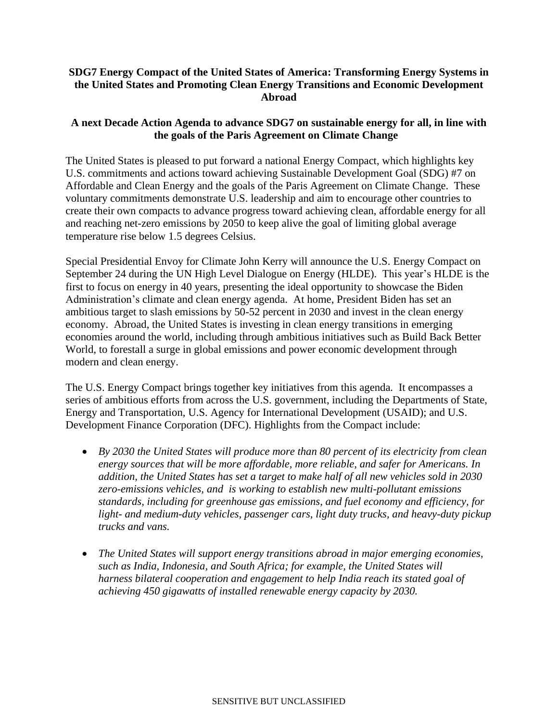## **SDG7 Energy Compact of the United States of America: Transforming Energy Systems in the United States and Promoting Clean Energy Transitions and Economic Development Abroad**

## **A next Decade Action Agenda to advance SDG7 on sustainable energy for all, in line with the goals of the Paris Agreement on Climate Change**

The United States is pleased to put forward a national Energy Compact, which highlights key U.S. commitments and actions toward achieving Sustainable Development Goal (SDG) #7 on Affordable and Clean Energy and the goals of the Paris Agreement on Climate Change. These voluntary commitments demonstrate U.S. leadership and aim to encourage other countries to create their own compacts to advance progress toward achieving clean, affordable energy for all and reaching net-zero emissions by 2050 to keep alive the goal of limiting global average temperature rise below 1.5 degrees Celsius.

Special Presidential Envoy for Climate John Kerry will announce the U.S. Energy Compact on September 24 during the UN High Level Dialogue on Energy (HLDE). This year's HLDE is the first to focus on energy in 40 years, presenting the ideal opportunity to showcase the Biden Administration's climate and clean energy agenda. At home, President Biden has set an ambitious target to slash emissions by 50-52 percent in 2030 and invest in the clean energy economy. Abroad, the United States is investing in clean energy transitions in emerging economies around the world, including through ambitious initiatives such as Build Back Better World, to forestall a surge in global emissions and power economic development through modern and clean energy.

The U.S. Energy Compact brings together key initiatives from this agenda. It encompasses a series of ambitious efforts from across the U.S. government, including the Departments of State, Energy and Transportation, U.S. Agency for International Development (USAID); and U.S. Development Finance Corporation (DFC). Highlights from the Compact include:

- *By 2030 the United States will produce more than 80 percent of its electricity from clean energy sources that will be more affordable, more reliable, and safer for Americans. In addition, the United States has set a target to make half of all new vehicles sold in 2030 zero-emissions vehicles, and is working to establish new multi-pollutant emissions standards, including for greenhouse gas emissions, and fuel economy and efficiency, for light- and medium-duty vehicles, passenger cars, light duty trucks, and heavy-duty pickup trucks and vans.*
- *The United States will support energy transitions abroad in major emerging economies, such as India, Indonesia, and South Africa; for example, the United States will harness bilateral cooperation and engagement to help India reach its stated goal of achieving 450 gigawatts of installed renewable energy capacity by 2030.*